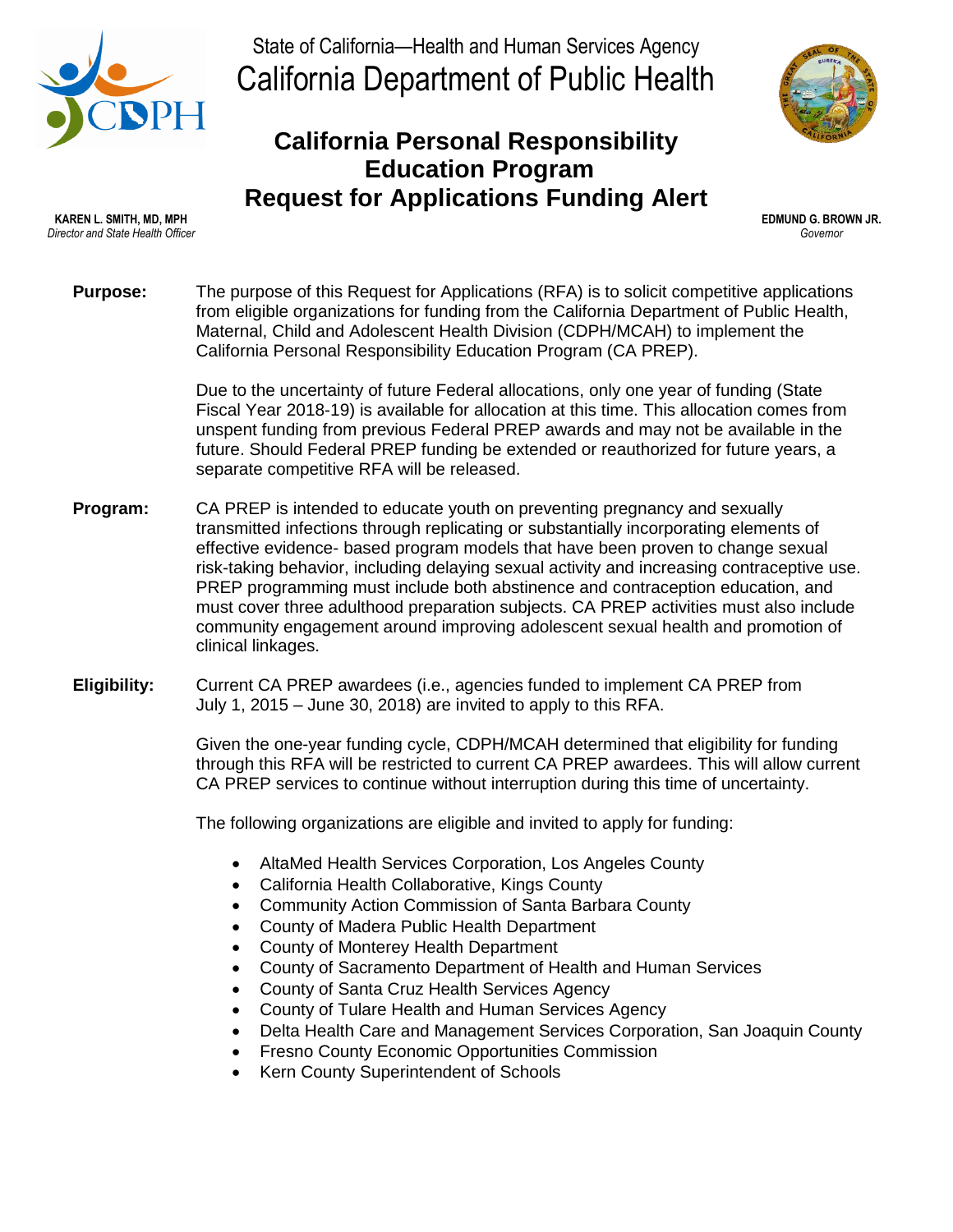

State of California—Health and Human Services Agency California Department of Public Health

## **California Personal Responsibility Education Program Request for Applications Funding Alert**



**KAREN L. SMITH, MD, MPH EDMUND G. BROWN JR.** *Director and State Health Officer Governor*

**Purpose:** The purpose of this Request for Applications (RFA) is to solicit competitive applications from eligible organizations for funding from the California Department of Public Health, Maternal, Child and Adolescent Health Division (CDPH/MCAH) to implement the California Personal Responsibility Education Program (CA PREP).

> Due to the uncertainty of future Federal allocations, only one year of funding (State Fiscal Year 2018-19) is available for allocation at this time. This allocation comes from unspent funding from previous Federal PREP awards and may not be available in the future. Should Federal PREP funding be extended or reauthorized for future years, a separate competitive RFA will be released.

- **Program:** CA PREP is intended to educate youth on preventing pregnancy and sexually transmitted infections through replicating or substantially incorporating elements of effective evidence- based program models that have been proven to change sexual risk-taking behavior, including delaying sexual activity and increasing contraceptive use. PREP programming must include both abstinence and contraception education, and must cover three adulthood preparation subjects. CA PREP activities must also include community engagement around improving adolescent sexual health and promotion of clinical linkages.
- **Eligibility:** Current CA PREP awardees (i.e., agencies funded to implement CA PREP from July 1, 2015 – June 30, 2018) are invited to apply to this RFA.

Given the one-year funding cycle, CDPH/MCAH determined that eligibility for funding through this RFA will be restricted to current CA PREP awardees. This will allow current CA PREP services to continue without interruption during this time of uncertainty.

The following organizations are eligible and invited to apply for funding:

- AltaMed Health Services Corporation, Los Angeles County
- California Health Collaborative, Kings County
- Community Action Commission of Santa Barbara County
- County of Madera Public Health Department
- County of Monterey Health Department
- County of Sacramento Department of Health and Human Services
- County of Santa Cruz Health Services Agency
- County of Tulare Health and Human Services Agency
- Delta Health Care and Management Services Corporation, San Joaquin County
- Fresno County Economic Opportunities Commission
- Kern County Superintendent of Schools